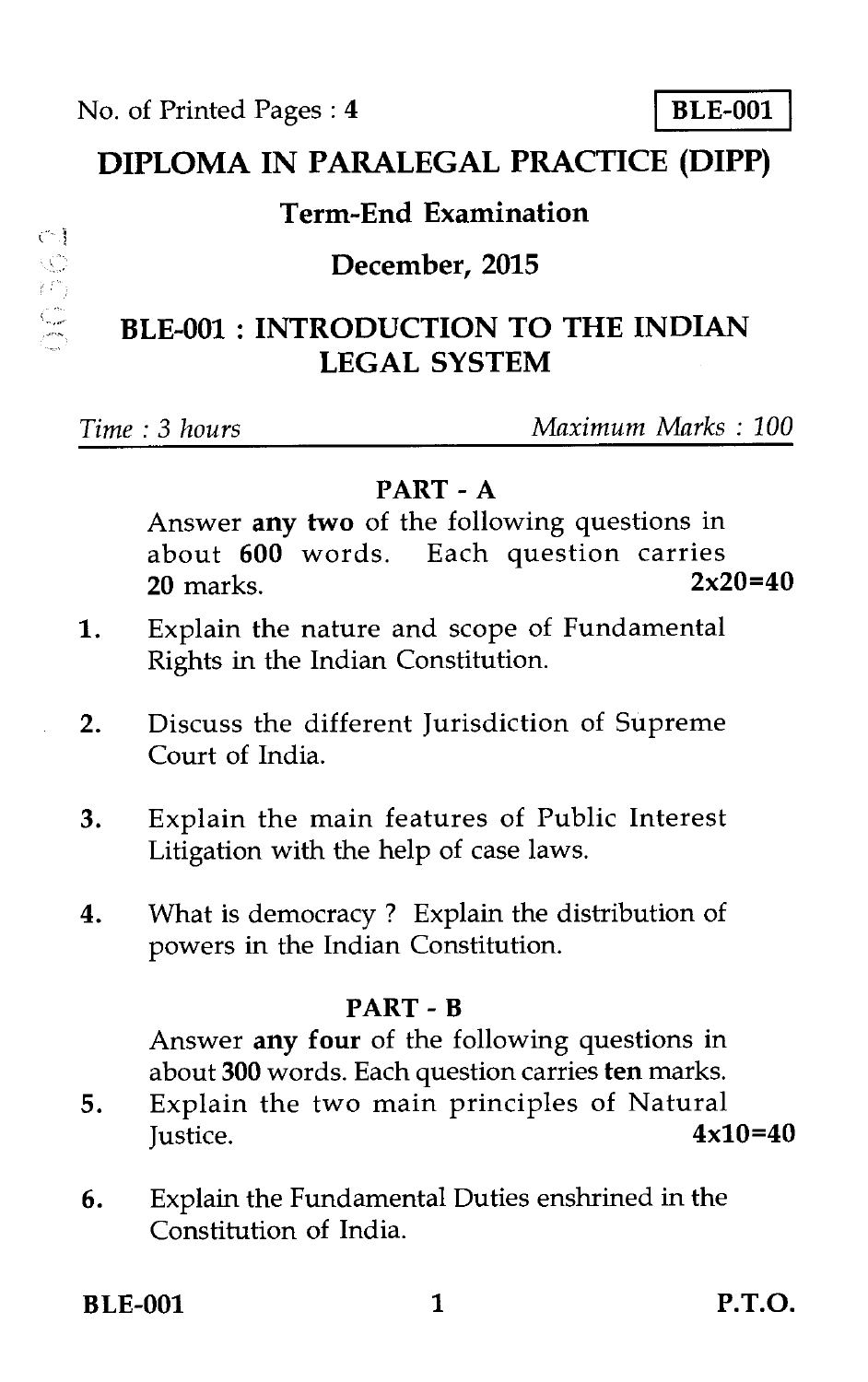## **DIPLOMA IN PARALEGAL PRACTICE (DIPP)**

### **Term-End Examination**

#### **December, 2015**

# **BLE-001 : INTRODUCTION TO THE INDIAN LEGAL SYSTEM**

 $C\bar{C}$ 

SC 50

#### *Time : 3 hours Maximum Marks : 100*

#### **PART - A**

Answer **any two** of the following questions in about **600** words. Each question carries **20** marks.

- 1. Explain the nature and scope of Fundamental Rights in the Indian Constitution.
- 2. Discuss the different Jurisdiction of Supreme Court of India.
- 3. Explain the main features of Public Interest Litigation with the help of case laws.
- 4. What is democracy ? Explain the distribution of powers in the Indian Constitution.

#### **PART - B**

Answer **any four** of the following questions in about **300** words. Each question carries **ten** marks.

- 5. Explain the two main principles of Natural Justice. **4x10=40**
- 6. Explain the Fundamental Duties enshrined in the Constitution of India.

**BLE-001** 1 **P.T.O.**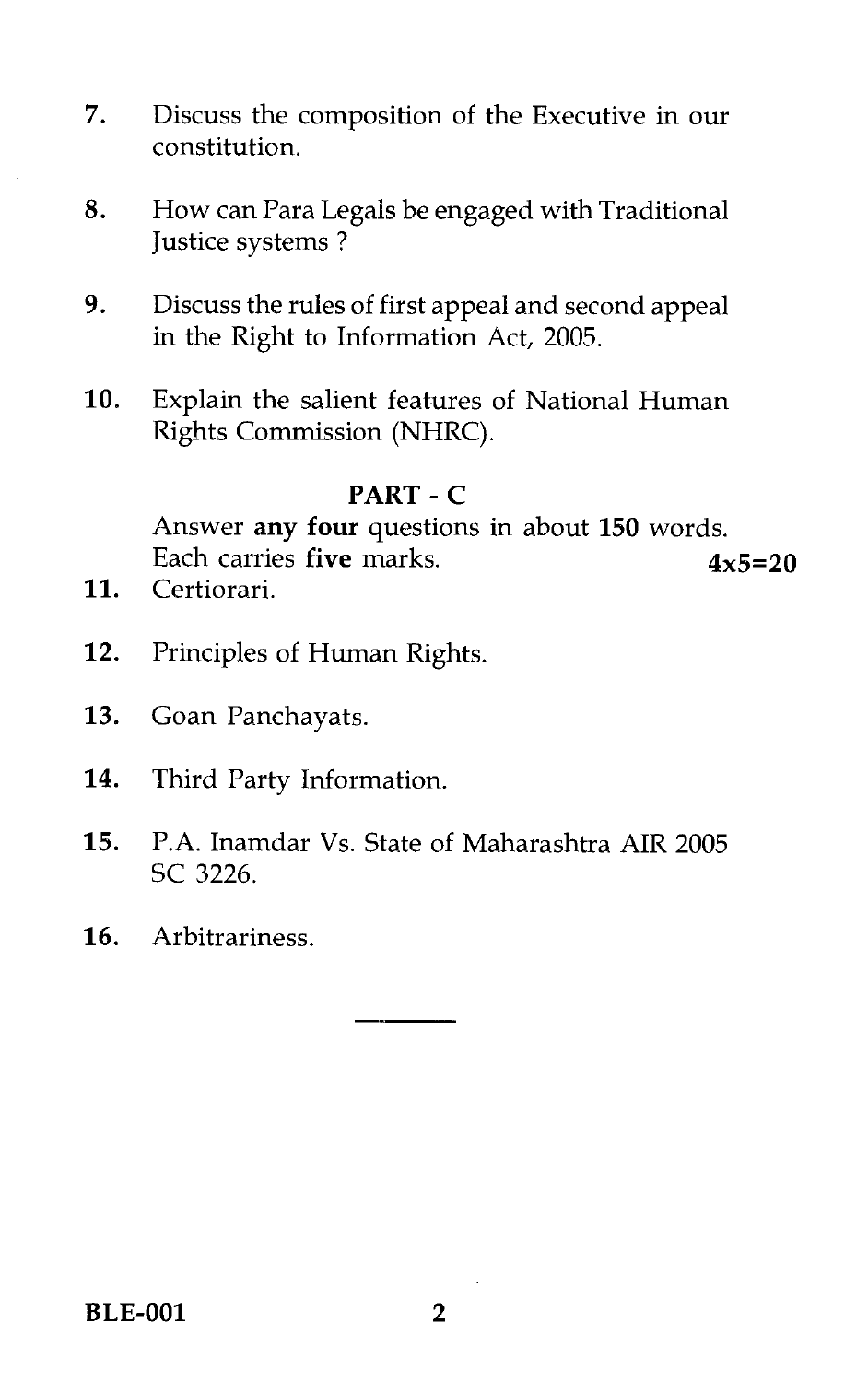- 7. Discuss the composition of the Executive in our constitution.
- 8. How can Para Legals be engaged with Traditional Justice systems ?
- 9. Discuss the rules of first appeal and second appeal in the Right to Information Act, 2005.
- 10. Explain the salient features of National Human Rights Commission (NHRC).

#### **PART - C**

Answer **any four** questions in about **150** words. Each carries **five** marks. **4x5=20** 

- 11. Certiorari.
- 12. Principles of Human Rights.
- 13. Goan Panchayats.
- 14. Third Party Information.
- 15. P.A. Inamdar Vs. State of Maharashtra AIR 2005 SC 3226.
- 16. Arbitrariness.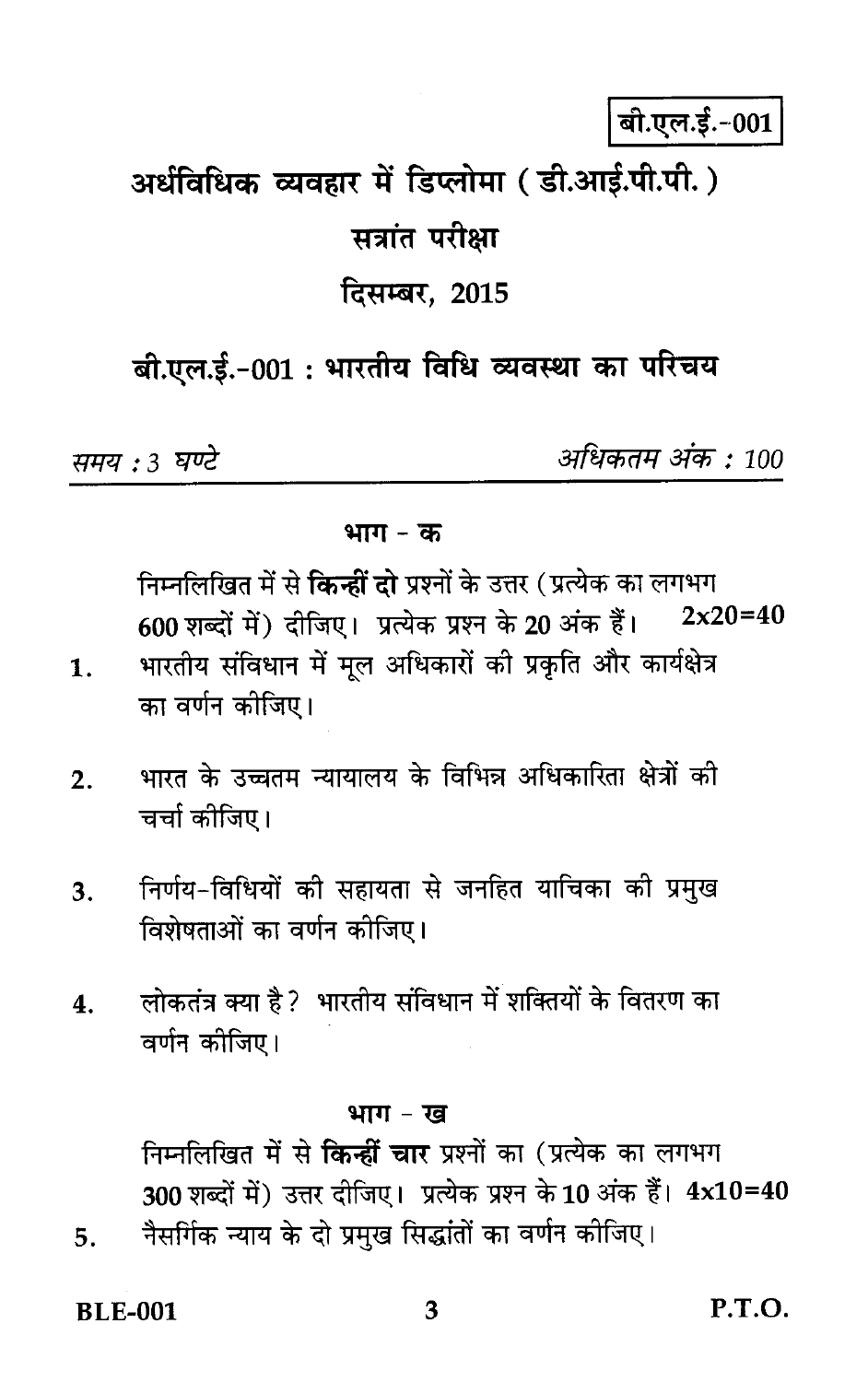बी.एल.ई.-001

# अर्धविधिक व्यवहार में डिप्लोमा (डी.आर्ड.पी.पी.) सत्रांत परीक्षा

# दिसम्बर. 2015

# बी.एल.ई.-001: भारतीय विधि व्यवस्था का परिचय

समय : 3 घण्टे

अधिकतम अंक : 100

#### भाग $-$  क

निम्नलिखित में से **किन्हीं दो** प्रश्नों के उत्तर (प्रत्येक का लगभग  $2x20=40$ 600 शब्दों में) दीजिए। प्रत्येक प्रश्न के 20 अंक हैं।

- भारतीय संविधान में मूल अधिकारों की प्रकृति और कार्यक्षेत्र  $\mathbf{1}$ . का वर्णन कीजिए।
- भारत के उच्चतम न्यायालय के विभिन्न अधिकारिता क्षेत्रों की  $2.$ चर्चा कोजिए।
- निर्णय-विधियों की सहायता से जनहित याचिका की प्रमुख  $3.$ विशेषताओं का वर्णन कीजिए।
- लोकतंत्र क्या है ? भारतीय संविधान में शक्तियों के वितरण का  $\boldsymbol{4}$ . वर्णन कीजिए।

#### भाग - ख

निम्नलिखित में से **किन्हीं चार** प्रश्नों का (प्रत्येक का लगभग 300 शब्दों में) उत्तर दीजिए। प्रत्येक प्रश्न के 10 अंक हैं। 4x10=40 नैसर्गिक न्याय के दो प्रमुख सिद्धांतों का वर्णन कीजिए।

**BLE-001** 

5.

 $P.T.O.$